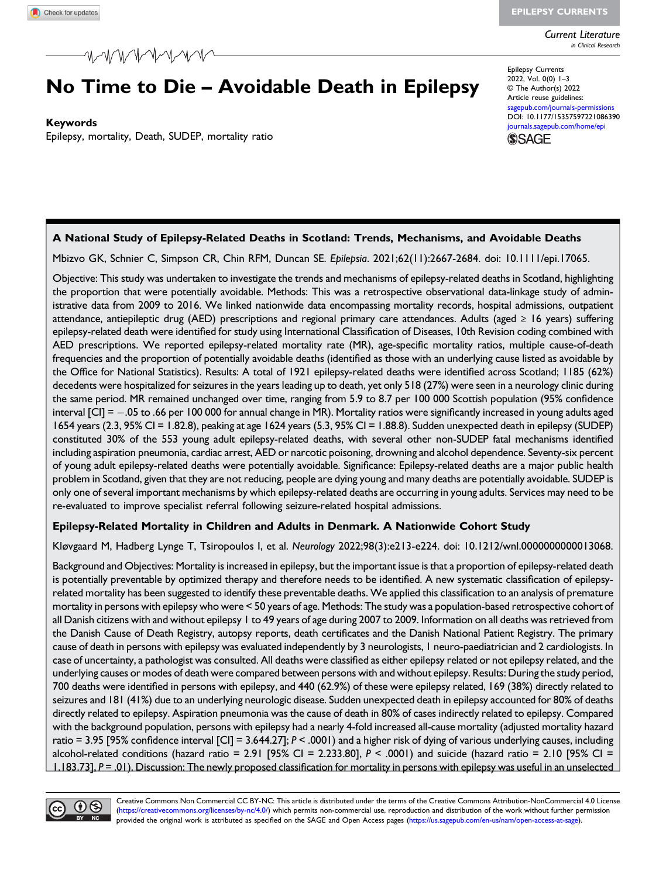EPILEPSY CURRENTS

Current Literature in Clinical Research

# No Time to Die – Avoidable Death in Epilepsy

Keywords

Epilepsy, mortality, Death, SUDEP, mortality ratio

Epilepsy Currents 2022, Vol. 0(0) 1–3 © The Author(s) 2022 Article reuse guidelines: agepub.com/journals-permissions DOI: [10.1177/15357597221086390](https://doi.org/10.1177/15357597221086390) [journals.sagepub.com/home/epi](https://journals.sagepub.com/home/epi)



## A National Study of Epilepsy-Related Deaths in Scotland: Trends, Mechanisms, and Avoidable Deaths

Mbizvo GK, Schnier C, Simpson CR, Chin RFM, Duncan SE. Epilepsia. 2021;62(11):2667-2684. doi: 10.1111/epi.17065.

Objective: This study was undertaken to investigate the trends and mechanisms of epilepsy-related deaths in Scotland, highlighting the proportion that were potentially avoidable. Methods: This was a retrospective observational data-linkage study of administrative data from 2009 to 2016. We linked nationwide data encompassing mortality records, hospital admissions, outpatient attendance, antiepileptic drug (AED) prescriptions and regional primary care attendances. Adults (aged ≥ 16 years) suffering epilepsy-related death were identified for study using International Classification of Diseases, 10th Revision coding combined with AED prescriptions. We reported epilepsy-related mortality rate (MR), age-specific mortality ratios, multiple cause-of-death frequencies and the proportion of potentially avoidable deaths (identified as those with an underlying cause listed as avoidable by the Office for National Statistics). Results: A total of 1921 epilepsy-related deaths were identified across Scotland; 1185 (62%) decedents were hospitalized for seizures in the years leading up to death, yet only 518 (27%) were seen in a neurology clinic during the same period. MR remained unchanged over time, ranging from 5.9 to 8.7 per 100 000 Scottish population (95% confidence interval [CI] = .05 to .66 per 100 000 for annual change in MR). Mortality ratios were significantly increased in young adults aged 1654 years (2.3, 95% CI = 1.82.8), peaking at age 1624 years (5.3, 95% CI = 1.88.8). Sudden unexpected death in epilepsy (SUDEP) constituted 30% of the 553 young adult epilepsy-related deaths, with several other non-SUDEP fatal mechanisms identified including aspiration pneumonia, cardiac arrest, AED or narcotic poisoning, drowning and alcohol dependence. Seventy-six percent of young adult epilepsy-related deaths were potentially avoidable. Significance: Epilepsy-related deaths are a major public health problem in Scotland, given that they are not reducing, people are dying young and many deaths are potentially avoidable. SUDEP is only one of several important mechanisms by which epilepsy-related deaths are occurring in young adults. Services may need to be re-evaluated to improve specialist referral following seizure-related hospital admissions.

### Epilepsy-Related Mortality in Children and Adults in Denmark. A Nationwide Cohort Study

Kløvgaard M, Hadberg Lynge T, Tsiropoulos I, et al. Neurology 2022;98(3):e213-e224. doi: 10.1212/wnl.0000000000013068.

Background and Objectives: Mortality is increased in epilepsy, but the important issue is that a proportion of epilepsy-related death is potentially preventable by optimized therapy and therefore needs to be identified. A new systematic classification of epilepsyrelated mortality has been suggested to identify these preventable deaths. We applied this classification to an analysis of premature mortality in persons with epilepsy who were < 50 years of age. Methods: The study was a population-based retrospective cohort of all Danish citizens with and without epilepsy 1 to 49 years of age during 2007 to 2009. Information on all deaths was retrieved from the Danish Cause of Death Registry, autopsy reports, death certificates and the Danish National Patient Registry. The primary cause of death in persons with epilepsy was evaluated independently by 3 neurologists, 1 neuro-paediatrician and 2 cardiologists. In case of uncertainty, a pathologist was consulted. All deaths were classified as either epilepsy related or not epilepsy related, and the underlying causes or modes of death were compared between persons with and without epilepsy. Results: During the study period, 700 deaths were identified in persons with epilepsy, and 440 (62.9%) of these were epilepsy related, 169 (38%) directly related to seizures and 181 (41%) due to an underlying neurologic disease. Sudden unexpected death in epilepsy accounted for 80% of deaths directly related to epilepsy. Aspiration pneumonia was the cause of death in 80% of cases indirectly related to epilepsy. Compared with the background population, persons with epilepsy had a nearly 4-fold increased all-cause mortality (adjusted mortality hazard ratio = 3.95 [95% confidence interval [CI] = 3.644.27];  $P < .0001$ ) and a higher risk of dying of various underlying causes, including alcohol-related conditions (hazard ratio =  $2.91$  [95% CI =  $2.233.80$ ],  $P \le 0.001$  and suicide (hazard ratio =  $2.10$  [95% CI = 1.183.73], P = .01). Discussion: The newly proposed classification for mortality in persons with epilepsy was useful in an unselected

Creative Commons Non Commercial CC BY-NC: This article is distributed under the terms of the Creative Commons Attribution-NonCommercial 4.0 License  $\circledcirc$ [\(https://creativecommons.org/licenses/by-nc/4.0/\)](https://creativecommons.org/licenses/by-nc/4.0/) which permits non-commercial use, reproduction and distribution of the work without further permission provided the original work is attributed as specified on the SAGE and Open Access pages ([https://us.sagepub.com/en-us/nam/open-access-at-sage\)](https://us.sagepub.com/en-us/nam/open-access-at-sage).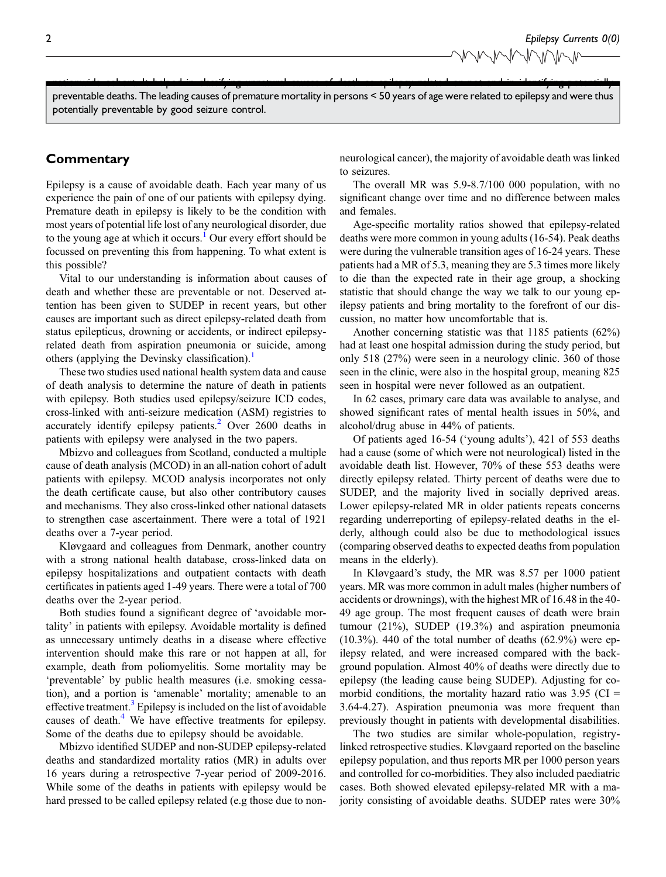nationwide cohort. It helped in classifying unnatural causes of death as epilepsy related or not and in identifying potentially preventable deaths. The leading causes of premature mortality in persons < 50 years of age were related to epilepsy and were thus potentially preventable by good seizure control.

## **Commentary**

Epilepsy is a cause of avoidable death. Each year many of us experience the pain of one of our patients with epilepsy dying. Premature death in epilepsy is likely to be the condition with most years of potential life lost of any neurological disorder, due to the young age at which it occurs.<sup>[1](#page-2-0)</sup> Our every effort should be focussed on preventing this from happening. To what extent is this possible?

Vital to our understanding is information about causes of death and whether these are preventable or not. Deserved attention has been given to SUDEP in recent years, but other causes are important such as direct epilepsy-related death from status epilepticus, drowning or accidents, or indirect epilepsyrelated death from aspiration pneumonia or suicide, among others (applying the Devinsky classification).<sup>[1](#page-2-0)</sup>

These two studies used national health system data and cause of death analysis to determine the nature of death in patients with epilepsy. Both studies used epilepsy/seizure ICD codes, cross-linked with anti-seizure medication (ASM) registries to accurately identify epilepsy patients.<sup>[2](#page-2-1)</sup> Over 2600 deaths in patients with epilepsy were analysed in the two papers.

Mbizvo and colleagues from Scotland, conducted a multiple cause of death analysis (MCOD) in an all-nation cohort of adult patients with epilepsy. MCOD analysis incorporates not only the death certificate cause, but also other contributory causes and mechanisms. They also cross-linked other national datasets to strengthen case ascertainment. There were a total of 1921 deaths over a 7-year period.

Kløvgaard and colleagues from Denmark, another country with a strong national health database, cross-linked data on epilepsy hospitalizations and outpatient contacts with death certificates in patients aged 1-49 years. There were a total of 700 deaths over the 2-year period.

Both studies found a significant degree of 'avoidable mortality' in patients with epilepsy. Avoidable mortality is defined as unnecessary untimely deaths in a disease where effective intervention should make this rare or not happen at all, for example, death from poliomyelitis. Some mortality may be 'preventable' by public health measures (i.e. smoking cessation), and a portion is 'amenable' mortality; amenable to an effective treatment.<sup>[3](#page-2-2)</sup> Epilepsy is included on the list of avoidable causes of death.<sup>[4](#page-2-3)</sup> We have effective treatments for epilepsy. Some of the deaths due to epilepsy should be avoidable.

Mbizvo identified SUDEP and non-SUDEP epilepsy-related deaths and standardized mortality ratios (MR) in adults over 16 years during a retrospective 7-year period of 2009-2016. While some of the deaths in patients with epilepsy would be hard pressed to be called epilepsy related (e.g those due to nonneurological cancer), the majority of avoidable death was linked to seizures.

The overall MR was 5.9-8.7/100 000 population, with no significant change over time and no difference between males and females.

Age-specific mortality ratios showed that epilepsy-related deaths were more common in young adults (16-54). Peak deaths were during the vulnerable transition ages of 16-24 years. These patients had a MR of 5.3, meaning they are 5.3 times more likely to die than the expected rate in their age group, a shocking statistic that should change the way we talk to our young epilepsy patients and bring mortality to the forefront of our discussion, no matter how uncomfortable that is.

Another concerning statistic was that 1185 patients (62%) had at least one hospital admission during the study period, but only 518 (27%) were seen in a neurology clinic. 360 of those seen in the clinic, were also in the hospital group, meaning 825 seen in hospital were never followed as an outpatient.

In 62 cases, primary care data was available to analyse, and showed significant rates of mental health issues in 50%, and alcohol/drug abuse in 44% of patients.

Of patients aged 16-54 ('young adults'), 421 of 553 deaths had a cause (some of which were not neurological) listed in the avoidable death list. However, 70% of these 553 deaths were directly epilepsy related. Thirty percent of deaths were due to SUDEP, and the majority lived in socially deprived areas. Lower epilepsy-related MR in older patients repeats concerns regarding underreporting of epilepsy-related deaths in the elderly, although could also be due to methodological issues (comparing observed deaths to expected deaths from population means in the elderly).

In Kløvgaard's study, the MR was 8.57 per 1000 patient years. MR was more common in adult males (higher numbers of accidents or drownings), with the highest MR of 16.48 in the 40- 49 age group. The most frequent causes of death were brain tumour (21%), SUDEP (19.3%) and aspiration pneumonia  $(10.3\%)$ . 440 of the total number of deaths  $(62.9\%)$  were epilepsy related, and were increased compared with the background population. Almost 40% of deaths were directly due to epilepsy (the leading cause being SUDEP). Adjusting for comorbid conditions, the mortality hazard ratio was  $3.95$  (CI = 3.64-4.27). Aspiration pneumonia was more frequent than previously thought in patients with developmental disabilities.

The two studies are similar whole-population, registrylinked retrospective studies. Kløvgaard reported on the baseline epilepsy population, and thus reports MR per 1000 person years and controlled for co-morbidities. They also included paediatric cases. Both showed elevated epilepsy-related MR with a majority consisting of avoidable deaths. SUDEP rates were 30%